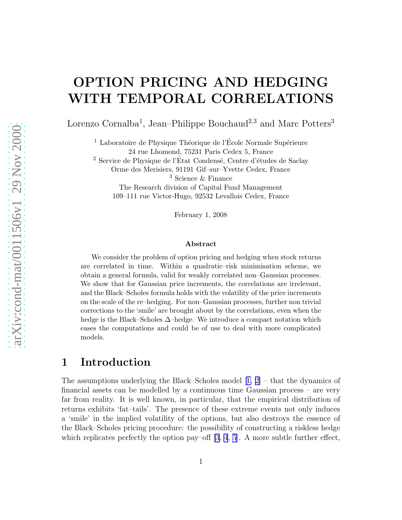# OPTION PRICING AND HEDGING WITH TEMPORAL CORRELATIONS

Lorenzo Cornalba<sup>1</sup>, Jean–Philippe Bouchaud<sup>2,3</sup> and Marc Potters<sup>3</sup>

<sup>1</sup> Laboratoire de Physique Théorique de l'École Normale Supérieure 24 rue Lhomond, 75231 Paris Cedex 5, France

<sup>2</sup> Service de Physique de l'État Condensé, Centre d'études de Saclay

Orme des Merisiers, 91191 Gif–sur–Yvette Cedex, France

<sup>3</sup> Science & Finance

The Research division of Capital Fund Management 109–111 rue Victor-Hugo, 92532 Levallois Cedex, France

February 1, 2008

#### Abstract

We consider the problem of option pricing and hedging when stock returns are correlated in time. Within a quadratic–risk minimisation scheme, we obtain a general formula, valid for weakly correlated non–Gaussian processes. We show that for Gaussian price increments, the correlations are irrelevant, and the Black–Scholes formula holds with the volatility of the price increments on the scale of the re–hedging. For non–Gaussian processes, further non trivial corrections to the 'smile' are brought about by the correlations, even when the hedge is the Black–Scholes  $\Delta$ –hedge. We introduce a compact notation which eases the computations and could be of use to deal with more complicated models.

### 1 Introduction

Theassumptions underlying the Black–Scholes model  $[1, 2]$  $[1, 2]$  – that the dynamics of financial assets can be modelled by a continuous time Gaussian process – are very far from reality. It is well known, in particular, that the empirical distribution of returns exhibits 'fat–tails'. The presence of these extreme events not only induces a 'smile' in the implied volatility of the options, but also destroys the essence of the Black–Scholes pricing procedure: the possibility of constructing a riskless hedge which replicates perfectly the option pay–off  $[3, 4, 5]$  $[3, 4, 5]$  $[3, 4, 5]$  $[3, 4, 5]$  $[3, 4, 5]$ . A more subtle further effect,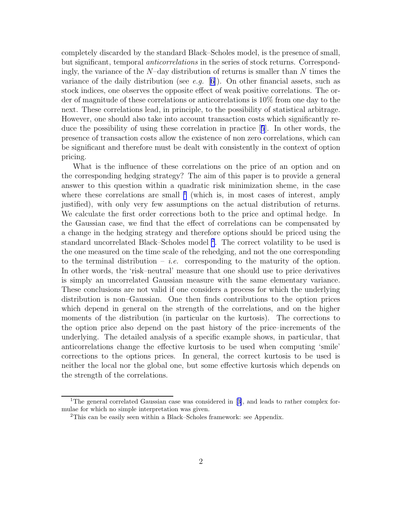completely discarded by the standard Black–Scholes model, is the presence of small, but significant, temporal *anticorrelations* in the series of stock returns. Correspondingly, the variance of the  $N$ -day distribution of returns is smaller than N times the variance of the daily distribution (see e.g. [[6\]](#page-15-0)). On other financial assets, such as stock indices, one observes the opposite effect of weak positive correlations. The order of magnitude of these correlations or anticorrelations is 10% from one day to the next. These correlations lead, in principle, to the possibility of statistical arbitrage. However, one should also take into account transaction costs which significantly reduce the possibility of using these correlation in practice [[5](#page-14-0)]. In other words, the presence of transaction costs allow the existence of non zero correlations, which can be significant and therefore must be dealt with consistently in the context of option pricing.

What is the influence of these correlations on the price of an option and on the corresponding hedging strategy? The aim of this paper is to provide a general answer to this question within a quadratic risk minimization sheme, in the case where these correlations are small  $\frac{1}{1}$  (which is, in most cases of interest, amply justified), with only very few assumptions on the actual distribution of returns. We calculate the first order corrections both to the price and optimal hedge. In the Gaussian case, we find that the effect of correlations can be compensated by a change in the hedging strategy and therefore options should be priced using the standard uncorrelated Black–Scholes model <sup>2</sup> . The correct volatility to be used is the one measured on the time scale of the rehedging, and not the one corresponding to the terminal distribution – *i.e.* corresponding to the maturity of the option. In other words, the 'risk–neutral' measure that one should use to price derivatives is simply an uncorrelated Gaussian measure with the same elementary variance. These conclusions are not valid if one considers a process for which the underlying distribution is non–Gaussian. One then finds contributions to the option prices which depend in general on the strength of the correlations, and on the higher moments of the distribution (in particular on the kurtosis). The corrections to the option price also depend on the past history of the price–increments of the underlying. The detailed analysis of a specific example shows, in particular, that anticorrelations change the effective kurtosis to be used when computing 'smile' corrections to the options prices. In general, the correct kurtosis to be used is neither the local nor the global one, but some effective kurtosis which depends on the strength of the correlations.

<sup>&</sup>lt;sup>1</sup>Thegeneral correlated Gaussian case was considered in [[3\]](#page-14-0), and leads to rather complex formulae for which no simple interpretation was given.

<sup>&</sup>lt;sup>2</sup>This can be easily seen within a Black–Scholes framework: see Appendix.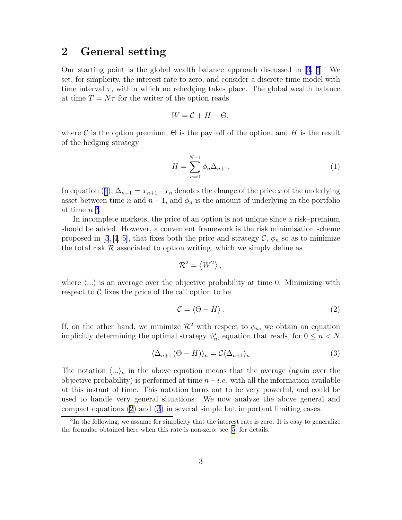### <span id="page-2-0"></span>2 General setting

Our starting point is the global wealth balance approach discussed in [\[3](#page-14-0), [5](#page-14-0)]. We set, for simplicity, the interest rate to zero, and consider a discrete time model with time interval  $\tau$ , within which no rehedging takes place. The global wealth balance at time  $T = N\tau$  for the writer of the option reads

$$
W = \mathcal{C} + H - \Theta,
$$

where C is the option premium,  $\Theta$  is the pay–off of the option, and H is the result of the hedging strategy

$$
H = \sum_{n=0}^{N-1} \phi_n \Delta_{n+1}.
$$
 (1)

In equation (1),  $\Delta_{n+1} = x_{n+1} - x_n$  denotes the change of the price x of the underlying asset between time n and  $n+1$ , and  $\phi_n$  is the amount of underlying in the portfolio at time  $n^3$ .

In incomplete markets, the price of an option is not unique since a risk–premium should be added. However, a convenient framework is the risk minimisation scheme proposed in [\[3](#page-14-0), [4](#page-14-0), [5](#page-14-0)], that fixes both the price and strategy  $\mathcal{C}$ ,  $\phi_n$  so as to minimize the total risk  $\mathcal R$  associated to option writing, which we simply define as

$$
\mathcal{R}^2 = \left\langle W^2 \right\rangle,
$$

where  $\langle \ldots \rangle$  is an average over the objective probability at time 0. Minimizing with respect to  $\mathcal C$  fixes the price of the call option to be

$$
\mathcal{C} = \langle \Theta - H \rangle. \tag{2}
$$

If, on the other hand, we minimize  $\mathcal{R}^2$  with respect to  $\phi_n$ , we obtain an equation implicitly determining the optimal strategy  $\phi_n^*$ , equation that reads, for  $0 \leq n < N$ 

$$
\langle \Delta_{n+1} (\Theta - H) \rangle_n = C \langle \Delta_{n+1} \rangle_n \tag{3}
$$

The notation  $\langle \ldots \rangle_n$  in the above equation means that the average (again over the objective probability) is performed at time  $n - i.e.$  with all the information available at this instant of time. This notation turns out to be very powerful, and could be used to handle very general situations. We now analyze the above general and compact equations (2) and (3) in several simple but important limiting cases.

<sup>&</sup>lt;sup>3</sup>In the following, we assume for simplicity that the interest rate is zero. It is easy to generalize the formulae obtained here when this rate is non-zero: see [\[5](#page-14-0)] for details.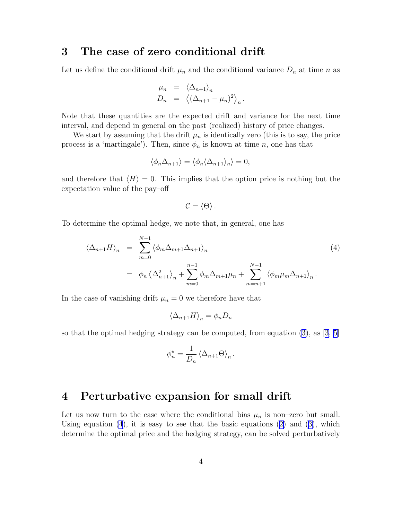### <span id="page-3-0"></span>3 The case of zero conditional drift

Let us define the conditional drift  $\mu_n$  and the conditional variance  $D_n$  at time n as

$$
\mu_n = \langle \Delta_{n+1} \rangle_n
$$
  
\n
$$
D_n = \langle (\Delta_{n+1} - \mu_n)^2 \rangle_n.
$$

Note that these quantities are the expected drift and variance for the next time interval, and depend in general on the past (realized) history of price changes.

We start by assuming that the drift  $\mu_n$  is identically zero (this is to say, the price process is a 'martingale'). Then, since  $\phi_n$  is known at time n, one has that

$$
\langle \phi_n \Delta_{n+1} \rangle = \langle \phi_n \langle \Delta_{n+1} \rangle_n \rangle = 0,
$$

and therefore that  $\langle H \rangle = 0$ . This implies that the option price is nothing but the expectation value of the pay–off

$$
\mathcal{C}=\langle\Theta\rangle.
$$

To determine the optimal hedge, we note that, in general, one has

$$
\langle \Delta_{n+1} H \rangle_n = \sum_{m=0}^{N-1} \langle \phi_m \Delta_{m+1} \Delta_{n+1} \rangle_n
$$
\n
$$
= \phi_n \langle \Delta_{n+1}^2 \rangle_n + \sum_{m=0}^{N-1} \phi_m \Delta_{m+1} \mu_n + \sum_{m=n+1}^{N-1} \langle \phi_m \mu_m \Delta_{n+1} \rangle_n.
$$
\n(4)

In the case of vanishing drift  $\mu_n = 0$  we therefore have that

$$
\langle \Delta_{n+1} H \rangle_n = \phi_n D_n
$$

sothat the optimal hedging strategy can be computed, from equation  $(3)$  $(3)$ , as  $[3, 5]$ 

$$
\phi_n^* = \frac{1}{D_n} \left\langle \Delta_{n+1} \Theta \right\rangle_n.
$$

### 4 Perturbative expansion for small drift

Let us now turn to the case where the conditional bias  $\mu_n$  is non-zero but small. Usingequation  $(4)$ , it is easy to see that the basic equations  $(2)$  $(2)$  and  $(3)$  $(3)$ , which determine the optimal price and the hedging strategy, can be solved perturbatively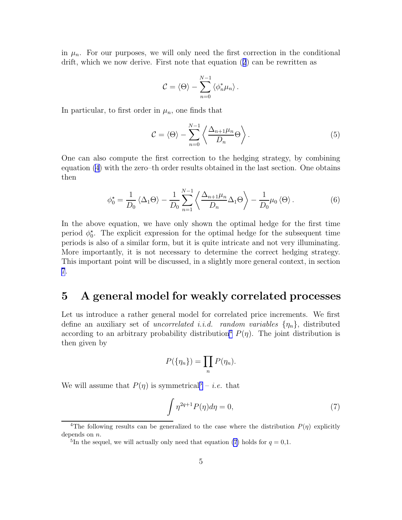<span id="page-4-0"></span>in  $\mu_n$ . For our purposes, we will only need the first correction in the conditional drift, which we now derive. First note that equation([2](#page-2-0)) can be rewritten as

$$
\mathcal{C} = \langle \Theta \rangle - \sum_{n=0}^{N-1} \langle \phi_n^* \mu_n \rangle.
$$

In particular, to first order in  $\mu_n$ , one finds that

$$
\mathcal{C} = \langle \Theta \rangle - \sum_{n=0}^{N-1} \left\langle \frac{\Delta_{n+1} \mu_n}{D_n} \Theta \right\rangle.
$$
 (5)

One can also compute the first correction to the hedging strategy, by combining equation [\(4](#page-3-0)) with the zero–th order results obtained in the last section. One obtains then

$$
\phi_0^* = \frac{1}{D_0} \langle \Delta_1 \Theta \rangle - \frac{1}{D_0} \sum_{n=1}^{N-1} \left\langle \frac{\Delta_{n+1} \mu_n}{D_n} \Delta_1 \Theta \right\rangle - \frac{1}{D_0} \mu_0 \langle \Theta \rangle.
$$
 (6)

In the above equation, we have only shown the optimal hedge for the first time period  $\phi_0^*$ . The explicit expression for the optimal hedge for the subsequent time periods is also of a similar form, but it is quite intricate and not very illuminating. More importantly, it is not necessary to determine the correct hedging strategy. This important point will be discussed, in a slightly more general context, in section [7](#page-11-0).

### 5 A general model for weakly correlated processes

Let us introduce a rather general model for correlated price increments. We first define an auxiliary set of uncorrelated i.i.d. random variables  $\{\eta_n\}$ , distributed according to an arbitrary probability distribution<sup>4</sup>  $P(\eta)$ . The joint distribution is then given by

$$
P(\{\eta_n\}) = \prod_n P(\eta_n).
$$

We will assume that  $P(\eta)$  is symmetrical<sup>5</sup> – *i.e.* that

$$
\int \eta^{2q+1} P(\eta) d\eta = 0,\t\t(7)
$$

<sup>&</sup>lt;sup>4</sup>The following results can be generalized to the case where the distribution  $P(\eta)$  explicitly depends on *n*.

<sup>&</sup>lt;sup>5</sup>In the sequel, we will actually only need that equation (7) holds for  $q = 0,1$ .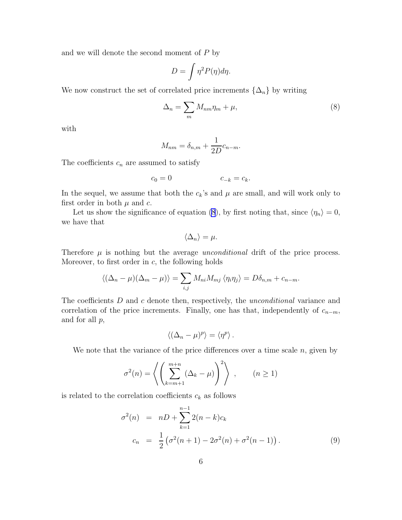and we will denote the second moment of  $P$  by

$$
D = \int \eta^2 P(\eta) d\eta.
$$

We now construct the set of correlated price increments  $\{\Delta_n\}$  by writing

$$
\Delta_n = \sum_m M_{nm} \eta_m + \mu,\tag{8}
$$

with

$$
M_{nm} = \delta_{n,m} + \frac{1}{2D}c_{n-m}.
$$

The coefficients  $c_n$  are assumed to satisfy

$$
c_0 = 0 \qquad \qquad c_{-k} = c_k.
$$

In the sequel, we assume that both the  $c_k$ 's and  $\mu$  are small, and will work only to first order in both  $\mu$  and  $c$ .

Let us show the significance of equation (8), by first noting that, since  $\langle \eta_n \rangle = 0$ , we have that

$$
\langle \Delta_n \rangle = \mu.
$$

Therefore  $\mu$  is nothing but the average *unconditional* drift of the price process. Moreover, to first order in  $c$ , the following holds

$$
\langle (\Delta_n - \mu)(\Delta_m - \mu) \rangle = \sum_{i,j} M_{ni} M_{mj} \langle \eta_i \eta_j \rangle = D \delta_{n,m} + c_{n-m}.
$$

The coefficients D and c denote then, respectively, the *unconditional* variance and correlation of the price increments. Finally, one has that, independently of  $c_{n-m}$ , and for all  $p$ ,

$$
\langle (\Delta_n - \mu)^p \rangle = \langle \eta^p \rangle.
$$

We note that the variance of the price differences over a time scale  $n$ , given by

$$
\sigma^{2}(n) = \left\langle \left( \sum_{k=m+1}^{m+n} (\Delta_{k} - \mu) \right)^{2} \right\rangle , \qquad (n \ge 1)
$$

is related to the correlation coefficients  $c_k$  as follows

$$
\sigma^{2}(n) = nD + \sum_{k=1}^{n-1} 2(n-k)c_{k}
$$
  
\n
$$
c_{n} = \frac{1}{2} (\sigma^{2}(n+1) - 2\sigma^{2}(n) + \sigma^{2}(n-1)).
$$
\n(9)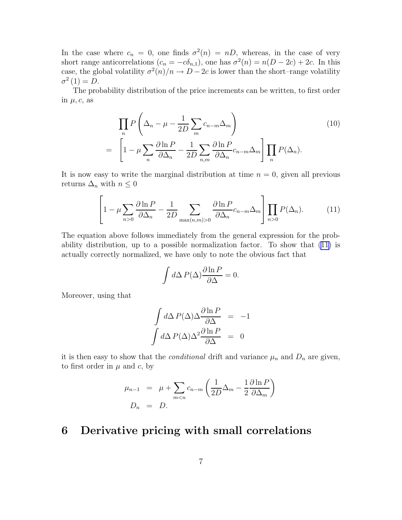<span id="page-6-0"></span>In the case where  $c_n = 0$ , one finds  $\sigma^2(n) = nD$ , whereas, in the case of very short range anticorrelations  $(c_n = -c\delta_{n,1})$ , one has  $\sigma^2(n) = n(D - 2c) + 2c$ . In this case, the global volatility  $\sigma^2(n)/n \to D-2c$  is lower than the short–range volatility  $\sigma^2(1) = D.$ 

The probability distribution of the price increments can be written, to first order in  $\mu$ , c, as

$$
\prod_{n} P\left(\Delta_{n} - \mu - \frac{1}{2D} \sum_{m} c_{n-m} \Delta_{m}\right)
$$
\n
$$
= \left[1 - \mu \sum_{n} \frac{\partial \ln P}{\partial \Delta_{n}} - \frac{1}{2D} \sum_{n,m} \frac{\partial \ln P}{\partial \Delta_{n}} c_{n-m} \Delta_{m}\right] \prod_{n} P(\Delta_{n}).
$$
\n(10)

It is now easy to write the marginal distribution at time  $n = 0$ , given all previous returns  $\Delta_n$  with  $n \leq 0$ 

$$
\left[1 - \mu \sum_{n>0} \frac{\partial \ln P}{\partial \Delta_n} - \frac{1}{2D} \sum_{\max(n,m)>0} \frac{\partial \ln P}{\partial \Delta_n} c_{n-m} \Delta_m \right] \prod_{n>0} P(\Delta_n). \tag{11}
$$

The equation above follows immediately from the general expression for the probability distribution, up to a possible normalization factor. To show that (11) is actually correctly normalized, we have only to note the obvious fact that

$$
\int d\Delta P(\Delta) \frac{\partial \ln P}{\partial \Delta} = 0.
$$

Moreover, using that

$$
\int d\Delta P(\Delta) \Delta \frac{\partial \ln P}{\partial \Delta} = -1
$$

$$
\int d\Delta P(\Delta) \Delta^2 \frac{\partial \ln P}{\partial \Delta} = 0
$$

it is then easy to show that the *conditional* drift and variance  $\mu_n$  and  $D_n$  are given, to first order in  $\mu$  and  $c$ , by

$$
\mu_{n-1} = \mu + \sum_{m < n} c_{n-m} \left( \frac{1}{2D} \Delta_m - \frac{1}{2} \frac{\partial \ln P}{\partial \Delta_m} \right)
$$
\n
$$
D_n = D.
$$

### 6 Derivative pricing with small correlations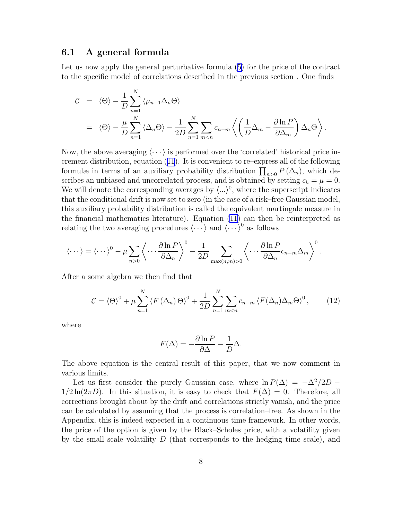#### <span id="page-7-0"></span>6.1 A general formula

Let us now apply the general perturbative formula([5\)](#page-4-0) for the price of the contract to the specific model of correlations described in the previous section . One finds

$$
C = \langle \Theta \rangle - \frac{1}{D} \sum_{n=1}^{N} \langle \mu_{n-1} \Delta_n \Theta \rangle
$$
  
=  $\langle \Theta \rangle - \frac{\mu}{D} \sum_{n=1}^{N} \langle \Delta_n \Theta \rangle - \frac{1}{2D} \sum_{n=1}^{N} \sum_{m < n} c_{n-m} \left\langle \left( \frac{1}{D} \Delta_m - \frac{\partial \ln P}{\partial \Delta_m} \right) \Delta_n \Theta \right\rangle$ 

.

Now, the above averaging  $\langle \cdots \rangle$  is performed over the 'correlated' historical price increment distribution, equation([11](#page-6-0)). It is convenient to re–express all of the following formulæ in terms of an auxiliary probability distribution  $\prod_{n>0} P(\Delta_n)$ , which describes an unbiased and uncorrelated process, and is obtained by setting  $c_k = \mu = 0$ . We will denote the corresponding averages by  $\langle ... \rangle^0$ , where the superscript indicates that the conditional drift is now set to zero (in the case of a risk–free Gaussian model, this auxiliary probability distribution is called the equivalent martingale measure in the financial mathematics literature). Equation [\(11\)](#page-6-0) can then be reinterpreted as relating the two averaging procedures  $\langle \cdots \rangle$  and  $\langle \cdots \rangle^0$  as follows

$$
\langle \cdots \rangle = \langle \cdots \rangle^0 - \mu \sum_{n>0} \left\langle \cdots \frac{\partial \ln P}{\partial \Delta_n} \right\rangle^0 - \frac{1}{2D} \sum_{\max(n,m)>0} \left\langle \cdots \frac{\partial \ln P}{\partial \Delta_n} c_{n-m} \Delta_m \right\rangle^0.
$$

After a some algebra we then find that

$$
C = \langle \Theta \rangle^{0} + \mu \sum_{n=1}^{N} \langle F(\Delta_{n}) \Theta \rangle^{0} + \frac{1}{2D} \sum_{n=1}^{N} \sum_{m < n} c_{n-m} \langle F(\Delta_{n}) \Delta_{m} \Theta \rangle^{0}, \qquad (12)
$$

where

$$
F(\Delta) = -\frac{\partial \ln P}{\partial \Delta} - \frac{1}{D} \Delta.
$$

The above equation is the central result of this paper, that we now comment in various limits.

Let us first consider the purely Gaussian case, where  $\ln P(\Delta) = -\Delta^2/2D$  –  $1/2 \ln(2\pi D)$ . In this situation, it is easy to check that  $F(\Delta) = 0$ . Therefore, all corrections brought about by the drift and correlations strictly vanish, and the price can be calculated by assuming that the process is correlation–free. As shown in the Appendix, this is indeed expected in a continuous time framework. In other words, the price of the option is given by the Black–Scholes price, with a volatility given by the small scale volatility  $D$  (that corresponds to the hedging time scale), and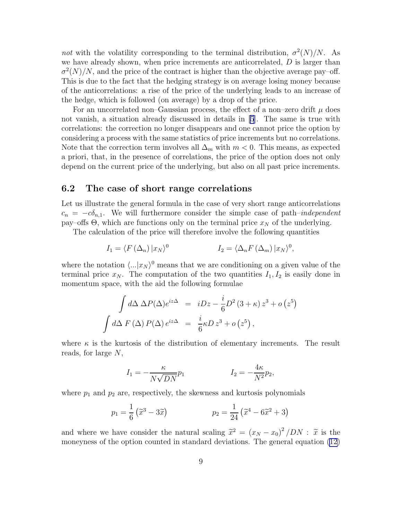not with the volatility corresponding to the terminal distribution,  $\sigma^2(N)/N$ . As we have already shown, when price increments are anticorrelated,  $D$  is larger than  $\sigma^2(N)/N$ , and the price of the contract is higher than the objective average pay–off. This is due to the fact that the hedging strategy is on average losing money because of the anticorrelations: a rise of the price of the underlying leads to an increase of the hedge, which is followed (on average) by a drop of the price.

For an uncorrelated non–Gaussian process, the effect of a non–zero drift  $\mu$  does not vanish, a situation already discussed in details in [\[5](#page-14-0)]. The same is true with correlations: the correction no longer disappears and one cannot price the option by considering a process with the same statistics of price increments but no correlations. Note that the correction term involves all  $\Delta_m$  with  $m < 0$ . This means, as expected a priori, that, in the presence of correlations, the price of the option does not only depend on the current price of the underlying, but also on all past price increments.

#### 6.2 The case of short range correlations

Let us illustrate the general formula in the case of very short range anticorrelations  $c_n = -c\delta_{n,1}$ . We will furthermore consider the simple case of path–independent pay–offs  $\Theta$ , which are functions only on the terminal price  $x_N$  of the underlying.

The calculation of the price will therefore involve the following quantities

$$
I_1 = \langle F(\Delta_n) | x_N \rangle^0 \qquad I_2 = \langle \Delta_n F(\Delta_m) | x_N \rangle^0,
$$

where the notation  $\langle ... | x_N \rangle^0$  means that we are conditioning on a given value of the terminal price  $x_N$ . The computation of the two quantities  $I_1, I_2$  is easily done in momentum space, with the aid the following formulae

$$
\int d\Delta \,\Delta P(\Delta)e^{iz\Delta} = iDz - \frac{i}{6}D^2(3+\kappa) z^3 + o(z^5)
$$

$$
\int d\Delta F(\Delta) P(\Delta) e^{iz\Delta} = \frac{i}{6}\kappa D z^3 + o(z^5),
$$

where  $\kappa$  is the kurtosis of the distribution of elementary increments. The result reads, for large N,

$$
I_1 = -\frac{\kappa}{N\sqrt{DN}}p_1 \qquad I_2 = -\frac{4\kappa}{N^2}p_2,
$$

where  $p_1$  and  $p_2$  are, respectively, the skewness and kurtosis polynomials

$$
p_1 = \frac{1}{6} \left( \tilde{x}^3 - 3\tilde{x} \right) \qquad \qquad p_2 = \frac{1}{24} \left( \tilde{x}^4 - 6\tilde{x}^2 + 3 \right)
$$

and where we have consider the natural scaling  $\tilde{x}^2 = (x_N - x_0)^2 / DN$ :  $\tilde{x}$  is the moneyness of the option counted in standard deviations. The general equation [\(12\)](#page-7-0)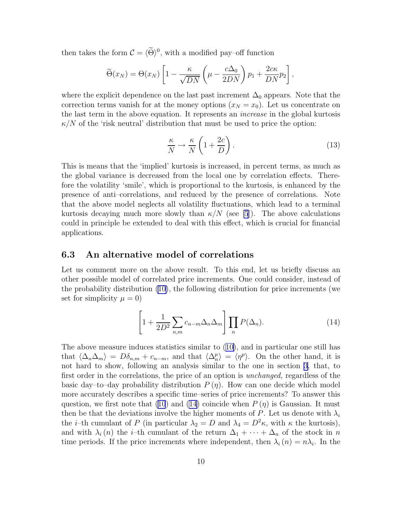<span id="page-9-0"></span>then takes the form  $C = \langle \Theta \rangle^0$ , with a modified pay–off function

$$
\widetilde{\Theta}(x_N) = \Theta(x_N) \left[ 1 - \frac{\kappa}{\sqrt{DN}} \left( \mu - \frac{c\Delta_0}{2DN} \right) p_1 + \frac{2c\kappa}{DN} p_2 \right],
$$

where the explicit dependence on the last past increment  $\Delta_0$  appears. Note that the correction terms vanish for at the money options  $(x_N = x_0)$ . Let us concentrate on the last term in the above equation. It represents an increase in the global kurtosis  $\kappa/N$  of the 'risk neutral' distribution that must be used to price the option:

$$
\frac{\kappa}{N} \to \frac{\kappa}{N} \left( 1 + \frac{2c}{D} \right). \tag{13}
$$

This is means that the 'implied' kurtosis is increased, in percent terms, as much as the global variance is decreased from the local one by correlation effects. Therefore the volatility 'smile', which is proportional to the kurtosis, is enhanced by the presence of anti–correlations, and reduced by the presence of correlations. Note that the above model neglects all volatility fluctuations, which lead to a terminal kurtosis decaying much more slowly than  $\kappa/N$  (see [\[5](#page-14-0)]). The above calculations could in principle be extended to deal with this effect, which is crucial for financial applications.

#### 6.3 An alternative model of correlations

Let us comment more on the above result. To this end, let us briefly discuss an other possible model of correlated price increments. One could consider, instead of the probability distribution([10\)](#page-6-0), the following distribution for price increments (we set for simplicity  $\mu = 0$ )

$$
\left[1 + \frac{1}{2D^2} \sum_{n,m} c_{n-m} \Delta_n \Delta_m \right] \prod_n P(\Delta_n). \tag{14}
$$

The above measure induces statistics similar to([10\)](#page-6-0), and in particular one still has that  $\langle \Delta_n \Delta_m \rangle = D \delta_{n,m} + c_{n-m}$ , and that  $\langle \Delta_n^p \rangle = \langle \eta^p \rangle$ . On the other hand, it is not hard to show, following an analysis similar to the one in section [3,](#page-2-0) that, to first order in the correlations, the price of an option is *unchanged*, regardless of the basic day–to–day probability distribution  $P(\eta)$ . How can one decide which model more accurately describes a specific time–series of price increments? To answer this question,we first note that ([10](#page-6-0)) and (14) coincide when  $P(\eta)$  is Gaussian. It must then be that the deviations involve the higher moments of P. Let us denote with  $\lambda_i$ the *i*–th cumulant of P (in particular  $\lambda_2 = D$  and  $\lambda_4 = D^2 \kappa$ , with  $\kappa$  the kurtosis), and with  $\lambda_i(n)$  the *i*–th cumulant of the return  $\Delta_1 + \cdots + \Delta_n$  of the stock in n time periods. If the price increments where independent, then  $\lambda_i(n) = n\lambda_i$ . In the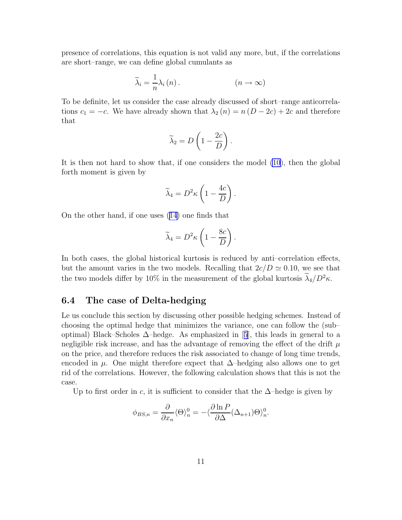presence of correlations, this equation is not valid any more, but, if the correlations are short–range, we can define global cumulants as

$$
\widetilde{\lambda}_{i} = \frac{1}{n} \lambda_{i} (n) . \qquad (n \to \infty)
$$

To be definite, let us consider the case already discussed of short–range anticorrelations  $c_1 = -c$ . We have already shown that  $\lambda_2(n) = n(D - 2c) + 2c$  and therefore that

$$
\widetilde{\lambda}_2 = D\left(1 - \frac{2c}{D}\right).
$$

It is then not hard to show that, if one considers the model [\(10](#page-6-0)), then the global forth moment is given by

$$
\widetilde{\lambda}_4 = D^2 \kappa \left( 1 - \frac{4c}{D} \right).
$$

On the other hand, if one uses [\(14\)](#page-9-0) one finds that

$$
\widetilde{\lambda}_4 = D^2 \kappa \left( 1 - \frac{8c}{D} \right).
$$

In both cases, the global historical kurtosis is reduced by anti–correlation effects, but the amount varies in the two models. Recalling that  $2c/D \simeq 0.10$ , we see that the two models differ by 10% in the measurement of the global kurtosis  $\lambda_4/D^2\kappa$ .

### 6.4 The case of Delta-hedging

Le us conclude this section by discussing other possible hedging schemes. Instead of choosing the optimal hedge that minimizes the variance, one can follow the (sub– optimal)Black–Scholes  $\Delta$ –hedge. As emphasized in [[5](#page-14-0)], this leads in general to a negligible risk increase, and has the advantage of removing the effect of the drift  $\mu$ on the price, and therefore reduces the risk associated to change of long time trends, encoded in  $\mu$ . One might therefore expect that  $\Delta$ –hedging also allows one to get rid of the correlations. However, the following calculation shows that this is not the case.

Up to first order in c, it is sufficient to consider that the  $\Delta$ –hedge is given by

$$
\phi_{BS,n} = \frac{\partial}{\partial x_n} \langle \Theta \rangle_n^0 = - \langle \frac{\partial \ln P}{\partial \Delta} (\Delta_{n+1}) \Theta \rangle_n^0.
$$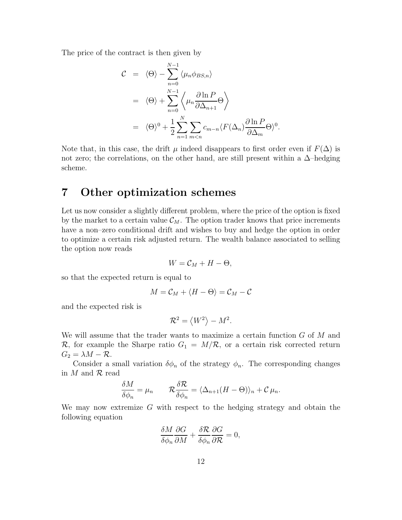<span id="page-11-0"></span>The price of the contract is then given by

$$
\mathcal{C} = \langle \Theta \rangle - \sum_{n=0}^{N-1} \langle \mu_n \phi_{BS,n} \rangle
$$
  
=  $\langle \Theta \rangle + \sum_{n=0}^{N-1} \left\langle \mu_n \frac{\partial \ln P}{\partial \Delta_{n+1}} \Theta \right\rangle$   
=  $\langle \Theta \rangle^0 + \frac{1}{2} \sum_{n=1}^{N} \sum_{m$ 

Note that, in this case, the drift  $\mu$  indeed disappears to first order even if  $F(\Delta)$  is not zero; the correlations, on the other hand, are still present within a  $\Delta$ –hedging scheme.

### 7 Other optimization schemes

Let us now consider a slightly different problem, where the price of the option is fixed by the market to a certain value  $\mathcal{C}_M$ . The option trader knows that price increments have a non–zero conditional drift and wishes to buy and hedge the option in order to optimize a certain risk adjusted return. The wealth balance associated to selling the option now reads

$$
W=\mathcal{C}_M+H-\Theta,
$$

so that the expected return is equal to

$$
M=\mathcal{C}_M+\langle H-\Theta\rangle=\mathcal{C}_M-\mathcal{C}
$$

and the expected risk is

$$
\mathcal{R}^2 = \langle W^2 \rangle - M^2.
$$

We will assume that the trader wants to maximize a certain function  $G$  of  $M$  and  $\mathcal{R}$ , for example the Sharpe ratio  $G_1 = M/\mathcal{R}$ , or a certain risk corrected return  $G_2 = \lambda M - \mathcal{R}$ .

Consider a small variation  $\delta \phi_n$  of the strategy  $\phi_n$ . The corresponding changes in M and  $\mathcal R$  read

$$
\frac{\delta M}{\delta \phi_n} = \mu_n \qquad \mathcal{R} \frac{\delta \mathcal{R}}{\delta \phi_n} = \langle \Delta_{n+1} (H - \Theta) \rangle_n + \mathcal{C} \mu_n.
$$

We may now extremize  $G$  with respect to the hedging strategy and obtain the following equation

$$
\frac{\delta M}{\delta \phi_n} \frac{\partial G}{\partial M} + \frac{\delta \mathcal{R}}{\delta \phi_n} \frac{\partial G}{\partial \mathcal{R}} = 0,
$$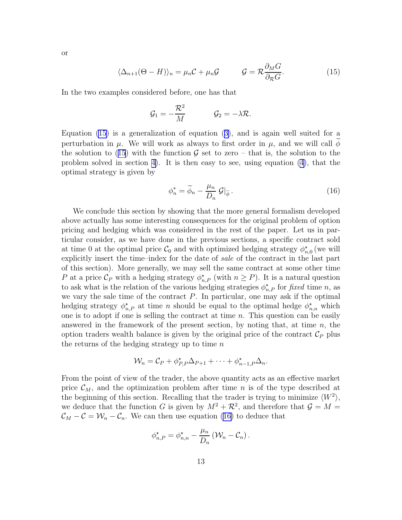$$
\langle \Delta_{n+1}(\Theta - H) \rangle_n = \mu_n \mathcal{C} + \mu_n \mathcal{G} \qquad \mathcal{G} = \mathcal{R} \frac{\partial_M G}{\partial_R G}.
$$
 (15)

In the two examples considered before, one has that

$$
\mathcal{G}_1=-\frac{\mathcal{R}^2}{M}\qquad \qquad \mathcal{G}_2=-\lambda \mathcal{R}.
$$

Equation (15) is a generalization of equation([3\)](#page-2-0), and is again well suited for a perturbation in  $\mu$ . We will work as always to first order in  $\mu$ , and we will call  $\phi$ the solution to (15) with the function  $\mathcal G$  set to zero – that is, the solution to the problem solved in section [4\)](#page-3-0). It is then easy to see, using equation [\(4\)](#page-3-0), that the optimal strategy is given by

$$
\phi_n^* = \widetilde{\phi}_n - \frac{\mu_n}{D_n} \mathcal{G}|_{\widetilde{\phi}}.
$$
\n(16)

We conclude this section by showing that the more general formalism developed above actually has some interesting consequences for the original problem of option pricing and hedging which was considered in the rest of the paper. Let us in particular consider, as we have done in the previous sections, a specific contract sold at time 0 at the optimal price  $\mathcal{C}_0$  and with optimized hedging strategy  $\phi_{n,0}^*$  (we will explicitly insert the time–index for the date of sale of the contract in the last part of this section). More generally, we may sell the same contract at some other time P at a price  $\mathcal{C}_P$  with a hedging strategy  $\phi_{n,P}^*$  (with  $n \geq P$ ). It is a natural question to ask what is the relation of the various hedging strategies  $\phi_{n,P}^{\star}$  for fixed time n, as we vary the sale time of the contract  $P$ . In particular, one may ask if the optimal hedging strategy  $\phi_{n,P}^*$  at time n should be equal to the optimal hedge  $\phi_{n,n}^*$  which one is to adopt if one is selling the contract at time  $n$ . This question can be easily answered in the framework of the present section, by noting that, at time  $n$ , the option traders wealth balance is given by the original price of the contract  $\mathcal{C}_P$  plus the returns of the hedging strategy up to time  $n$ 

$$
\mathcal{W}_n = \mathcal{C}_P + \phi_{P,P}^* \Delta_{P+1} + \cdots + \phi_{n-1,P}^* \Delta_n.
$$

From the point of view of the trader, the above quantity acts as an effective market price  $\mathcal{C}_M$ , and the optimization problem after time n is of the type described at the beginning of this section. Recalling that the trader is trying to minimize  $\langle W^2 \rangle$ , we deduce that the function G is given by  $M^2 + \mathcal{R}^2$ , and therefore that  $\mathcal{G} = M =$  $\mathcal{C}_M - \mathcal{C} = \mathcal{W}_n - \mathcal{C}_n$ . We can then use equation (16) to deduce that

$$
\phi_{n,P}^{\star} = \phi_{n,n}^{\star} - \frac{\mu_n}{D_n} \left( \mathcal{W}_n - \mathcal{C}_n \right).
$$

or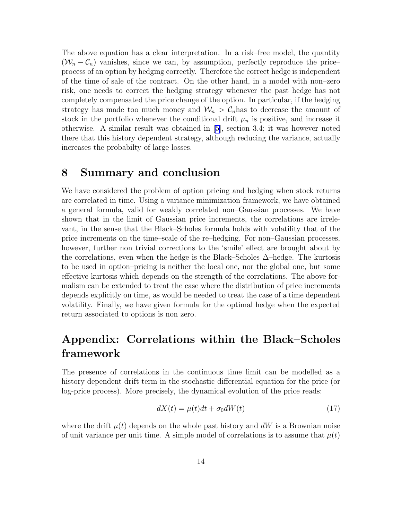The above equation has a clear interpretation. In a risk–free model, the quantity  $(\mathcal{W}_n - \mathcal{C}_n)$  vanishes, since we can, by assumption, perfectly reproduce the price– process of an option by hedging correctly. Therefore the correct hedge is independent of the time of sale of the contract. On the other hand, in a model with non–zero risk, one needs to correct the hedging strategy whenever the past hedge has not completely compensated the price change of the option. In particular, if the hedging strategy has made too much money and  $W_n > C_n$  has to decrease the amount of stock in the portfolio whenever the conditional drift  $\mu_n$  is positive, and increase it otherwise. A similar result was obtained in [\[5](#page-14-0)], section 3.4; it was however noted there that this history dependent strategy, although reducing the variance, actually increases the probabilty of large losses.

### 8 Summary and conclusion

We have considered the problem of option pricing and hedging when stock returns are correlated in time. Using a variance minimization framework, we have obtained a general formula, valid for weakly correlated non–Gaussian processes. We have shown that in the limit of Gaussian price increments, the correlations are irrelevant, in the sense that the Black–Scholes formula holds with volatility that of the price increments on the time–scale of the re–hedging. For non–Gaussian processes, however, further non trivial corrections to the 'smile' effect are brought about by the correlations, even when the hedge is the Black–Scholes ∆–hedge. The kurtosis to be used in option–pricing is neither the local one, nor the global one, but some effective kurtosis which depends on the strength of the correlations. The above formalism can be extended to treat the case where the distribution of price increments depends explicitly on time, as would be needed to treat the case of a time dependent volatility. Finally, we have given formula for the optimal hedge when the expected return associated to options is non zero.

## Appendix: Correlations within the Black–Scholes framework

The presence of correlations in the continuous time limit can be modelled as a history dependent drift term in the stochastic differential equation for the price (or log-price process). More precisely, the dynamical evolution of the price reads:

$$
dX(t) = \mu(t)dt + \sigma_0 dW(t)
$$
\n(17)

where the drift  $\mu(t)$  depends on the whole past history and  $dW$  is a Brownian noise of unit variance per unit time. A simple model of correlations is to assume that  $\mu(t)$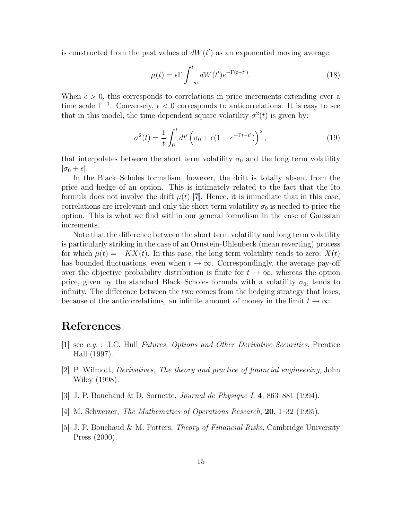<span id="page-14-0"></span>is constructed from the past values of  $dW(t')$  as an exponential moving average:

$$
\mu(t) = \epsilon \Gamma \int_{-\infty}^{t} dW(t') e^{-\Gamma(t-t')}.
$$
\n(18)

When  $\epsilon > 0$ , this corresponds to correlations in price increments extending over a time scale  $\Gamma^{-1}$ . Conversely,  $\epsilon < 0$  corresponds to anticorrelations. It is easy to see that in this model, the time dependent square volatility  $\sigma^2(t)$  is given by:

$$
\sigma^{2}(t) = \frac{1}{t} \int_{0}^{t} dt' \left( \sigma_{0} + \epsilon (1 - e^{-\Gamma t - t'}) \right)^{2}, \qquad (19)
$$

that interpolates between the short term volatility  $\sigma_0$  and the long term volatility  $|\sigma_0 + \epsilon|.$ 

In the Black–Scholes formalism, however, the drift is totally absent from the price and hedge of an option. This is intimately related to the fact that the Ito formuladoes not involve the drift  $\mu(t)$  [[7\]](#page-15-0). Hence, it is immediate that in this case, correlations are irrelevant and only the short term volatility  $\sigma_0$  is needed to price the option. This is what we find within our general formalism in the case of Gaussian increments.

Note that the difference between the short term volatility and long term volatility is particularly striking in the case of an Ornstein-Uhlenbeck (mean reverting) process for which  $\mu(t) = -KX(t)$ . In this case, the long term volatility tends to zero:  $X(t)$ has bounded fluctuations, even when  $t \to \infty$ . Correspondingly, the average pay-off over the objective probability distribution is finite for  $t \to \infty$ , whereas the option price, given by the standard Black–Scholes formula with a volatility  $\sigma_0$ , tends to infinity. The difference between the two comes from the hedging strategy that loses, because of the anticorrelations, an infinite amount of money in the limit  $t \to \infty$ .

### References

- [1] see e.g. : J.C. Hull Futures, Options and Other Derivative Securities, Prentice Hall (1997).
- [2] P. Wilmott, Derivatives, The theory and practice of financial engineering, John Wiley (1998).
- [3] J. P. Bouchaud & D. Sornette, Journal de Physique I, 4, 863–881 (1994).
- [4] M. Schweizer, *The Mathematics of Operations Research*, **20**, 1–32 (1995).
- [5] J. P. Bouchaud & M. Potters, Theory of Financial Risks, Cambridge University Press (2000).